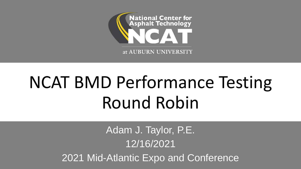

# NCAT BMD Performance Testing Round Robin

Adam J. Taylor, P.E. 12/16/2021 2021 Mid-Atlantic Expo and Conference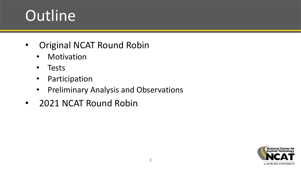# Outline

- Original NCAT Round Robin
	- Motivation
	- Tests
	- Participation
	- Preliminary Analysis and Observations
- 2021 NCAT Round Robin

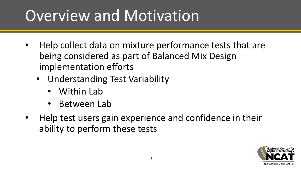# Overview and Motivation

- Help collect data on mixture performance tests that are being considered as part of Balanced Mix Design implementation efforts
	- Understanding Test Variability
		- Within Lab
		- Between Lab
- Help test users gain experience and confidence in their ability to perform these tests

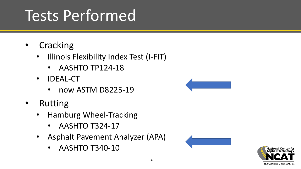# Tests Performed

- Cracking
	- Illinois Flexibility Index Test (I-FIT)
		- AASHTO TP124-18
	- IDEAL-CT
		- now ASTM D8225-19
- Rutting
	- Hamburg Wheel-Tracking
		- AASHTO T324-17
	- Asphalt Pavement Analyzer (APA)
		- AASHTO T340-10





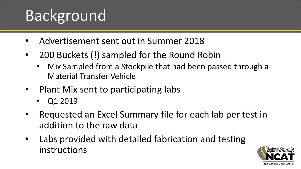# Background

- Advertisement sent out in Summer 2018
- 200 Buckets (!) sampled for the Round Robin
	- Mix Sampled from a Stockpile that had been passed through a Material Transfer Vehicle
- Plant Mix sent to participating labs
	- Q1 2019
- Requested an Excel Summary file for each lab per test in addition to the raw data
- Labs provided with detailed fabrication and testing instructions

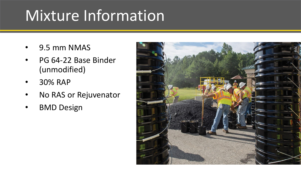# Mixture Information

- 9.5 mm NMAS
- PG 64-22 Base Binder (unmodified)
- 30% RAP
- No RAS or Rejuvenator
- BMD Design

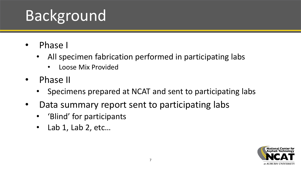# Background

- Phase I
	- All specimen fabrication performed in participating labs
		- Loose Mix Provided
- Phase II
	- Specimens prepared at NCAT and sent to participating labs
- Data summary report sent to participating labs
	- 'Blind' for participants
	- Lab 1, Lab 2, etc…

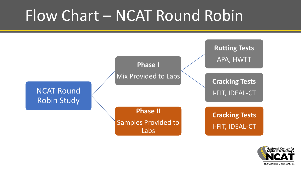### Flow Chart – NCAT Round Robin



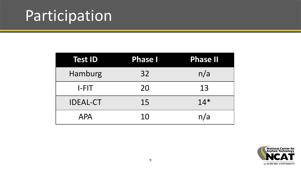# Participation

| <b>Test ID</b>  | <b>Phase I</b> | <b>Phase II</b> |
|-----------------|----------------|-----------------|
| Hamburg         | 32             | n/a             |
| $I-FIT$         | 20             | 13              |
| <b>IDEAL-CT</b> | 15             | $14*$           |
| <b>APA</b>      | 10             | n/a             |

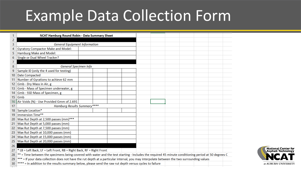#### Example Data Collection Form

|    | NCAT Hamburg Round Robin - Data Summary Sheet                                                                                                        |                       |  |  |  |  |  |  |
|----|------------------------------------------------------------------------------------------------------------------------------------------------------|-----------------------|--|--|--|--|--|--|
| 2  |                                                                                                                                                      |                       |  |  |  |  |  |  |
| 3  | <b>General Equipment Information</b>                                                                                                                 |                       |  |  |  |  |  |  |
| 4  | <b>Gyratory Compactor Make and Model:</b>                                                                                                            |                       |  |  |  |  |  |  |
| 5  | Hamburg Make and Model:                                                                                                                              |                       |  |  |  |  |  |  |
| 6  | Single or Dual Wheel Tracker?                                                                                                                        |                       |  |  |  |  |  |  |
|    |                                                                                                                                                      |                       |  |  |  |  |  |  |
| 8  |                                                                                                                                                      | General Specimen Info |  |  |  |  |  |  |
| 9  | Sample ID (only the 4 used for testing)                                                                                                              |                       |  |  |  |  |  |  |
| 10 | <b>Date Compacted</b>                                                                                                                                |                       |  |  |  |  |  |  |
| 11 | Number of Gyrations to achieve 62 mm                                                                                                                 |                       |  |  |  |  |  |  |
|    | 12 Gmb - Dry Mass in Air, g                                                                                                                          |                       |  |  |  |  |  |  |
| 13 | Gmb - Mass of Specimen underwater, g                                                                                                                 |                       |  |  |  |  |  |  |
| 14 | Gmb - SSD Mass of Specimen, g                                                                                                                        |                       |  |  |  |  |  |  |
| 15 | Gmb                                                                                                                                                  |                       |  |  |  |  |  |  |
| 16 | Air Voids (%) - Use Provided Gmm of 2.691                                                                                                            |                       |  |  |  |  |  |  |
| 17 | <b>Hamburg Results Summary****</b>                                                                                                                   |                       |  |  |  |  |  |  |
| 18 | Sample Location*                                                                                                                                     |                       |  |  |  |  |  |  |
| 19 | Immersion Time**                                                                                                                                     |                       |  |  |  |  |  |  |
| 20 | Max Rut Depth at 2,500 passes (mm)***                                                                                                                |                       |  |  |  |  |  |  |
| 21 | Max Rut Depth at 5,000 passes (mm)                                                                                                                   |                       |  |  |  |  |  |  |
| 22 | Max Rut Depth at 7,500 passes (mm)                                                                                                                   |                       |  |  |  |  |  |  |
| 23 | Max Rut Depth at 10,000 passes (mm)                                                                                                                  |                       |  |  |  |  |  |  |
| 24 | Max Rut Depth at 15,000 passes (mm)                                                                                                                  |                       |  |  |  |  |  |  |
|    | 25 Max Rut Depth at 20,000 passes (mm)                                                                                                               |                       |  |  |  |  |  |  |
| 26 |                                                                                                                                                      |                       |  |  |  |  |  |  |
| 27 | * LB = Left Back, LF = Left Front, RB = Right Back, RF = Right Front                                                                                 |                       |  |  |  |  |  |  |
| 28 | ** = Time between the specimens being covered with water and the test starting - Includes the required 45 minute conditioning period at 50 degrees C |                       |  |  |  |  |  |  |
| 29 | *** = If your data collection does not have the rut depth at a particular interval, you may interpolate between the two surrounding values           |                       |  |  |  |  |  |  |
| 30 | **** = In addition to the results summary below, please send the raw rut depth versus cycles to failure                                              |                       |  |  |  |  |  |  |

 $\sim$   $\sim$   $\sim$ 

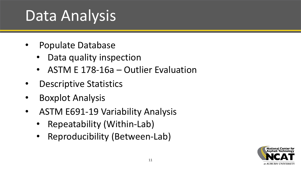# Data Analysis

- Populate Database
	- Data quality inspection
	- ASTM E 178-16a Outlier Evaluation
- Descriptive Statistics
- Boxplot Analysis
- ASTM E691-19 Variability Analysis
	- Repeatability (Within-Lab)
	- Reproducibility (Between-Lab)

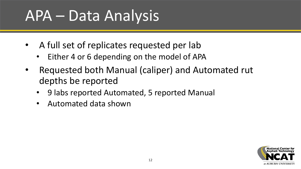## APA – Data Analysis

- A full set of replicates requested per lab
	- Either 4 or 6 depending on the model of APA
- Requested both Manual (caliper) and Automated rut depths be reported
	- 9 labs reported Automated, 5 reported Manual
	- Automated data shown

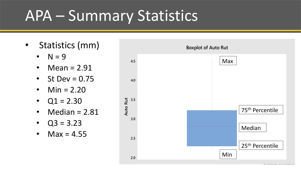#### APA – Summary Statistics

- Statistics (mm)
	- $\bullet$  N = 9
	- Mean = 2.91
	- St Dev =  $0.75$
	- Min =  $2.20$
	- $Q1 = 2.30$
	- $\textsf{Median} = 2.81$
	- $Q3 = 3.23$
	- Max =  $4.55$

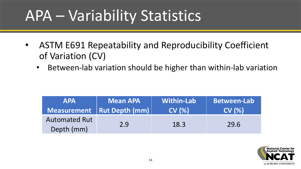# APA – Variability Statistics

- ASTM E691 Repeatability and Reproducibility Coefficient of Variation (CV)
	- Between-lab variation should be higher than within-lab variation

| <b>APA</b>                         | <b>Mean APA</b>              | <b>Within-Lab</b> | <b>Between-Lab</b> |
|------------------------------------|------------------------------|-------------------|--------------------|
|                                    | Measurement   Rut Depth (mm) | CV(%)             | CV(%)              |
| <b>Automated Rut</b><br>Depth (mm) | 2.9                          | 18.3              | 29.6               |

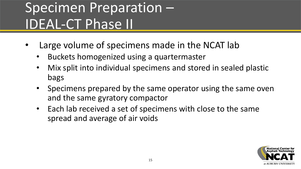#### Specimen Preparation – IDEAL-CT Phase II

- Large volume of specimens made in the NCAT lab
	- Buckets homogenized using a quartermaster
	- Mix split into individual specimens and stored in sealed plastic bags
	- Specimens prepared by the same operator using the same oven and the same gyratory compactor
	- Each lab received a set of specimens with close to the same spread and average of air voids

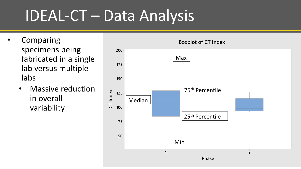# IDEAL-CT – Data Analysis

- **Comparing** specimens being fabricated in a single lab versus multiple labs
	- Massive reduction in overall variability

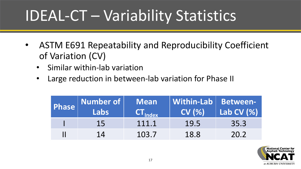# IDEAL-CT – Variability Statistics

- ASTM E691 Repeatability and Reproducibility Coefficient of Variation (CV)
	- Similar within-lab variation
	- Large reduction in between-lab variation for Phase II

| Phase Number of<br>Labs | <b>Mean</b><br>$CT_{Index}$ | Within-Lab   Between-<br>CV(%) | Lab CV (%) |
|-------------------------|-----------------------------|--------------------------------|------------|
| 15                      | 111.1                       | 19.5                           | 35.3       |
| 14                      | 103.7                       | 18.8                           | 20.2       |

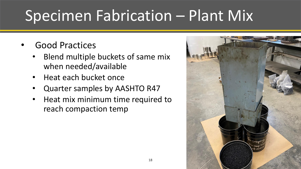# Specimen Fabrication – Plant Mix

- Good Practices
	- Blend multiple buckets of same mix when needed/available
	- Heat each bucket once
	- Quarter samples by AASHTO R47
	- Heat mix minimum time required to reach compaction temp

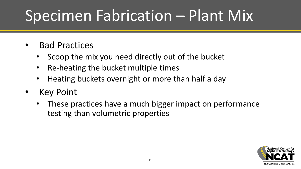# Specimen Fabrication – Plant Mix

- Bad Practices
	- Scoop the mix you need directly out of the bucket
	- Re-heating the bucket multiple times
	- Heating buckets overnight or more than half a day
- Key Point
	- These practices have a much bigger impact on performance testing than volumetric properties

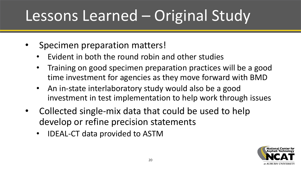# Lessons Learned – Original Study

- Specimen preparation matters!
	- Evident in both the round robin and other studies
	- Training on good specimen preparation practices will be a good time investment for agencies as they move forward with BMD
	- An in-state interlaboratory study would also be a good investment in test implementation to help work through issues
- Collected single-mix data that could be used to help develop or refine precision statements
	- IDEAL-CT data provided to ASTM

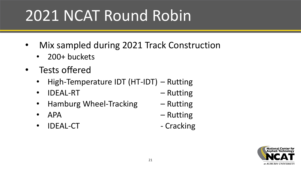# 2021 NCAT Round Robin

- Mix sampled during 2021 Track Construction
	- 200+ buckets
- Tests offered
	- High-Temperature IDT (HT-IDT) Rutting
	- IDEAL-RT Rutting
	- Hamburg Wheel-Tracking Rutting
	-
	- IDEAL-CT Cracking
- 
- 
- APA Rutting
	-

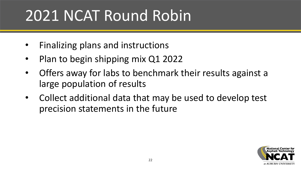# 2021 NCAT Round Robin

- Finalizing plans and instructions
- Plan to begin shipping mix Q1 2022
- Offers away for labs to benchmark their results against a large population of results
- Collect additional data that may be used to develop test precision statements in the future